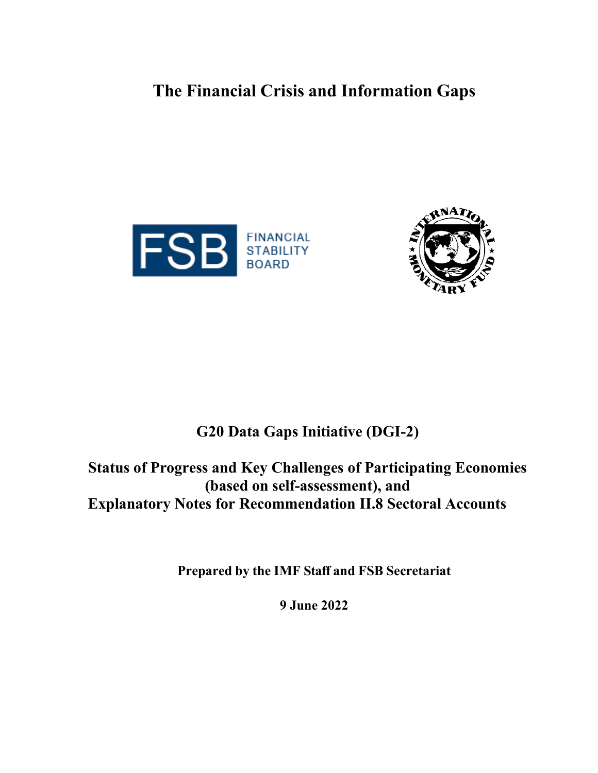# **The Financial Crisis and Information Gaps**





## **G20 Data Gaps Initiative (DGI-2)**

**Status of Progress and Key Challenges of Participating Economies (based on self-assessment), and Explanatory Notes for Recommendation II.8 Sectoral Accounts**

**Prepared by the IMF Staff and FSB Secretariat**

**9 June 2022**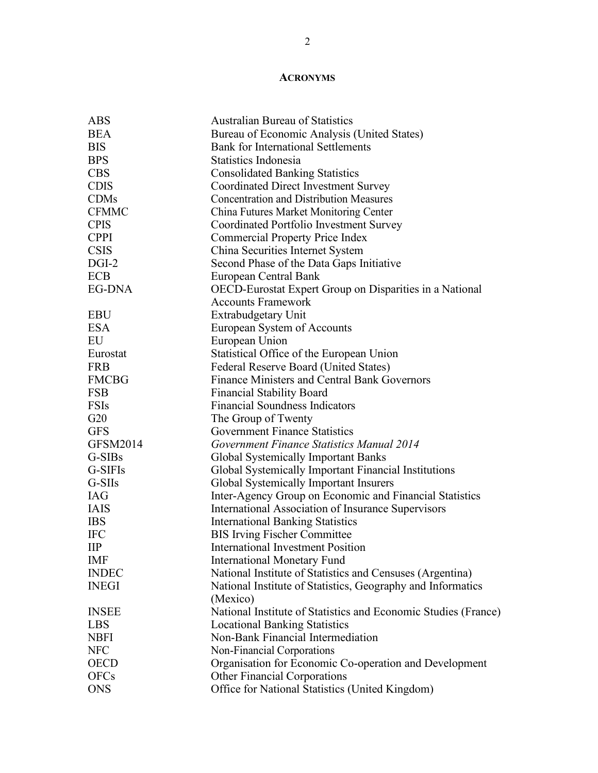## **ACRONYMS**

| <b>ABS</b>               | <b>Australian Bureau of Statistics</b>                         |
|--------------------------|----------------------------------------------------------------|
| <b>BEA</b>               | Bureau of Economic Analysis (United States)                    |
| <b>BIS</b>               | <b>Bank for International Settlements</b>                      |
| <b>BPS</b>               | Statistics Indonesia                                           |
| <b>CBS</b>               | <b>Consolidated Banking Statistics</b>                         |
| <b>CDIS</b>              | <b>Coordinated Direct Investment Survey</b>                    |
| <b>CDMs</b>              | <b>Concentration and Distribution Measures</b>                 |
| <b>CFMMC</b>             | China Futures Market Monitoring Center                         |
| <b>CPIS</b>              | Coordinated Portfolio Investment Survey                        |
| <b>CPPI</b>              | <b>Commercial Property Price Index</b>                         |
| <b>CSIS</b>              | China Securities Internet System                               |
| $DGI-2$                  | Second Phase of the Data Gaps Initiative                       |
| <b>ECB</b>               | European Central Bank                                          |
| EG-DNA                   | OECD-Eurostat Expert Group on Disparities in a National        |
|                          | <b>Accounts Framework</b>                                      |
| <b>EBU</b>               | Extrabudgetary Unit                                            |
| <b>ESA</b>               | European System of Accounts                                    |
| EU                       | European Union                                                 |
| Eurostat                 | Statistical Office of the European Union                       |
| <b>FRB</b>               | Federal Reserve Board (United States)                          |
| <b>FMCBG</b>             | <b>Finance Ministers and Central Bank Governors</b>            |
| <b>FSB</b>               | <b>Financial Stability Board</b>                               |
| <b>FSIs</b>              | <b>Financial Soundness Indicators</b>                          |
| G20                      | The Group of Twenty                                            |
| <b>GFS</b>               | <b>Government Finance Statistics</b>                           |
| GFSM2014                 | Government Finance Statistics Manual 2014                      |
| G-SIBs                   | <b>Global Systemically Important Banks</b>                     |
| G-SIFIs                  | Global Systemically Important Financial Institutions           |
| G-SIIs                   | Global Systemically Important Insurers                         |
| <b>IAG</b>               | Inter-Agency Group on Economic and Financial Statistics        |
| <b>IAIS</b>              | International Association of Insurance Supervisors             |
| <b>IBS</b>               | <b>International Banking Statistics</b>                        |
| <b>IFC</b>               | <b>BIS Irving Fischer Committee</b>                            |
| $\mathbf{II} \mathbf{P}$ | <b>International Investment Position</b>                       |
| <b>IMF</b>               | <b>International Monetary Fund</b>                             |
| <b>INDEC</b>             | National Institute of Statistics and Censuses (Argentina)      |
| <b>INEGI</b>             | National Institute of Statistics, Geography and Informatics    |
|                          | (Mexico)                                                       |
| <b>INSEE</b>             | National Institute of Statistics and Economic Studies (France) |
| <b>LBS</b>               | <b>Locational Banking Statistics</b>                           |
| <b>NBFI</b>              | Non-Bank Financial Intermediation                              |
| <b>NFC</b>               | Non-Financial Corporations                                     |
| <b>OECD</b>              | Organisation for Economic Co-operation and Development         |
| <b>OFCs</b>              | <b>Other Financial Corporations</b>                            |
| <b>ONS</b>               | Office for National Statistics (United Kingdom)                |
|                          |                                                                |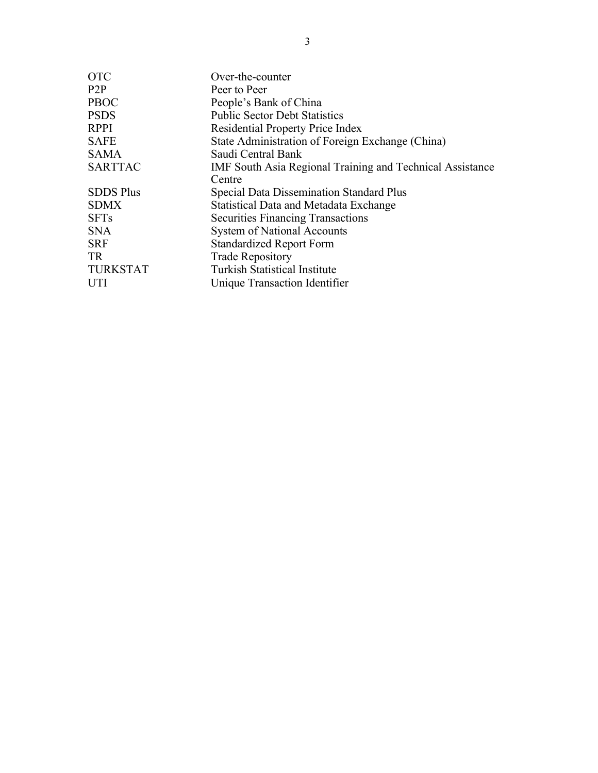| <b>OTC</b>       | Over-the-counter                                          |
|------------------|-----------------------------------------------------------|
| P2P              | Peer to Peer                                              |
| <b>PBOC</b>      | People's Bank of China                                    |
| <b>PSDS</b>      | <b>Public Sector Debt Statistics</b>                      |
| <b>RPPI</b>      | <b>Residential Property Price Index</b>                   |
| <b>SAFE</b>      | State Administration of Foreign Exchange (China)          |
| <b>SAMA</b>      | Saudi Central Bank                                        |
| <b>SARTTAC</b>   | IMF South Asia Regional Training and Technical Assistance |
|                  | Centre                                                    |
| <b>SDDS Plus</b> | <b>Special Data Dissemination Standard Plus</b>           |
| <b>SDMX</b>      | <b>Statistical Data and Metadata Exchange</b>             |
| <b>SFTs</b>      | <b>Securities Financing Transactions</b>                  |
| <b>SNA</b>       | <b>System of National Accounts</b>                        |
| <b>SRF</b>       | <b>Standardized Report Form</b>                           |
| TR               | <b>Trade Repository</b>                                   |
| <b>TURKSTAT</b>  | <b>Turkish Statistical Institute</b>                      |
| <b>UTI</b>       | Unique Transaction Identifier                             |
|                  |                                                           |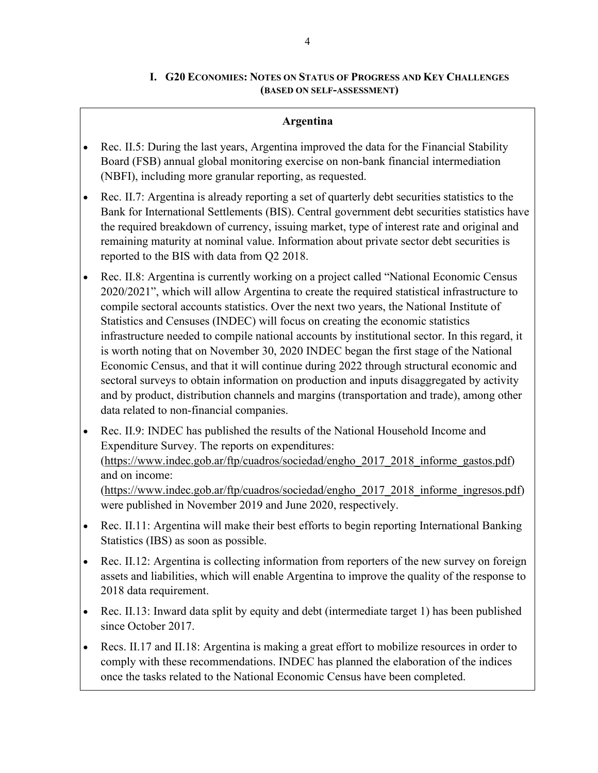## **I. G20 ECONOMIES: NOTES ON STATUS OF PROGRESS AND KEY CHALLENGES (BASED ON SELF-ASSESSMENT)**

## **Argentina**

- Rec. II.5: During the last years, Argentina improved the data for the Financial Stability Board (FSB) annual global monitoring exercise on non-bank financial intermediation (NBFI), including more granular reporting, as requested.
- Rec. II.7: Argentina is already reporting a set of quarterly debt securities statistics to the Bank for International Settlements (BIS). Central government debt securities statistics have the required breakdown of currency, issuing market, type of interest rate and original and remaining maturity at nominal value. Information about private sector debt securities is reported to the BIS with data from Q2 2018.
- Rec. II.8: Argentina is currently working on a project called "National Economic Census 2020/2021", which will allow Argentina to create the required statistical infrastructure to compile sectoral accounts statistics. Over the next two years, the National Institute of Statistics and Censuses (INDEC) will focus on creating the economic statistics infrastructure needed to compile national accounts by institutional sector. In this regard, it is worth noting that on November 30, 2020 INDEC began the first stage of the National Economic Census, and that it will continue during 2022 through structural economic and sectoral surveys to obtain information on production and inputs disaggregated by activity and by product, distribution channels and margins (transportation and trade), among other data related to non-financial companies.
- Rec. II.9: INDEC has published the results of the National Household Income and Expenditure Survey. The reports on expenditures: [\(https://www.indec.gob.ar/ftp/cuadros/sociedad/engho\\_2017\\_2018\\_informe\\_gastos.pdf\)](https://www.indec.gob.ar/ftp/cuadros/sociedad/engho_2017_2018_informe_gastos.pdf) and on income: [\(https://www.indec.gob.ar/ftp/cuadros/sociedad/engho\\_2017\\_2018\\_informe\\_ingresos.pdf\)](https://www.indec.gob.ar/ftp/cuadros/sociedad/engho_2017_2018_informe_ingresos.pdf) were published in November 2019 and June 2020, respectively.
- Rec. II.11: Argentina will make their best efforts to begin reporting International Banking Statistics (IBS) as soon as possible.
- Rec. II.12: Argentina is collecting information from reporters of the new survey on foreign assets and liabilities, which will enable Argentina to improve the quality of the response to 2018 data requirement.
- Rec. II.13: Inward data split by equity and debt (intermediate target 1) has been published since October 2017.
- Recs. II.17 and II.18: Argentina is making a great effort to mobilize resources in order to comply with these recommendations. INDEC has planned the elaboration of the indices once the tasks related to the National Economic Census have been completed.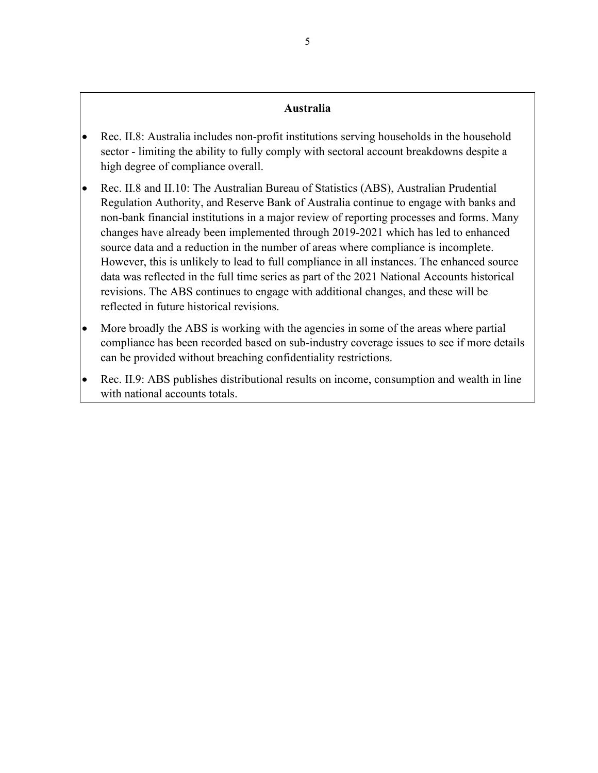#### **Australia**

- Rec. II.8: Australia includes non-profit institutions serving households in the household sector - limiting the ability to fully comply with sectoral account breakdowns despite a high degree of compliance overall.
- Rec. II.8 and II.10: The Australian Bureau of Statistics (ABS), Australian Prudential Regulation Authority, and Reserve Bank of Australia continue to engage with banks and non-bank financial institutions in a major review of reporting processes and forms. Many changes have already been implemented through 2019-2021 which has led to enhanced source data and a reduction in the number of areas where compliance is incomplete. However, this is unlikely to lead to full compliance in all instances. The enhanced source data was reflected in the full time series as part of the 2021 National Accounts historical revisions. The ABS continues to engage with additional changes, and these will be reflected in future historical revisions.
- More broadly the ABS is working with the agencies in some of the areas where partial compliance has been recorded based on sub-industry coverage issues to see if more details can be provided without breaching confidentiality restrictions.
- Rec. II.9: ABS publishes distributional results on income, consumption and wealth in line with national accounts totals.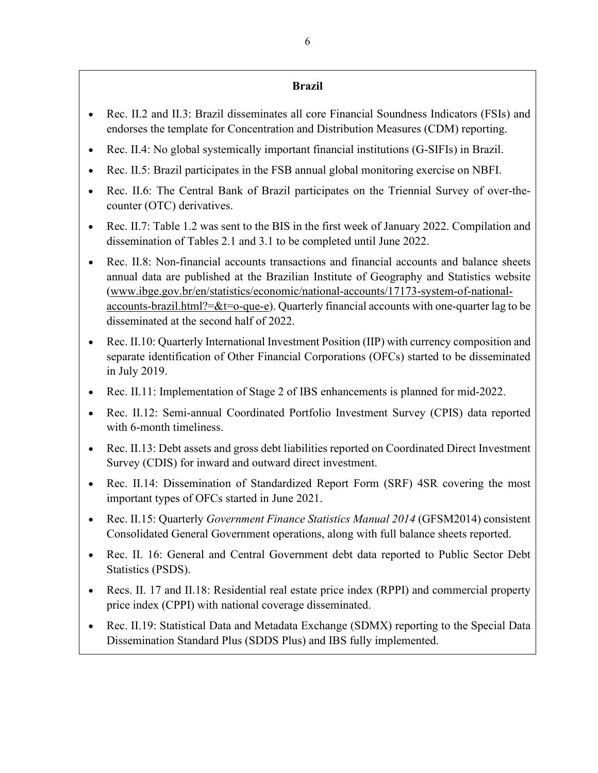## **Brazil**

- Rec. II.2 and II.3: Brazil disseminates all core Financial Soundness Indicators (FSIs) and endorses the template for Concentration and Distribution Measures (CDM) reporting.
- Rec. II.4: No global systemically important financial institutions (G-SIFIs) in Brazil.
- Rec. II.5: Brazil participates in the FSB annual global monitoring exercise on NBFI.
- Rec. II.6: The Central Bank of Brazil participates on the Triennial Survey of over-thecounter (OTC) derivatives.
- Rec. II.7: Table 1.2 was sent to the BIS in the first week of January 2022. Compilation and dissemination of Tables 2.1 and 3.1 to be completed until June 2022.
- Rec. II.8: Non-financial accounts transactions and financial accounts and balance sheets annual data are published at the Brazilian Institute of Geography and Statistics website [\(www.ibge.gov.br/en/statistics/economic/national-accounts/17173-system-of-national](http://www.ibge.gov.br/en/statistics/economic/national-accounts/17173-system-of-national-accounts-brazil.html?=&t=o-que-e)[accounts-brazil.html?=&t=o-que-e\)](http://www.ibge.gov.br/en/statistics/economic/national-accounts/17173-system-of-national-accounts-brazil.html?=&t=o-que-e). Quarterly financial accounts with one-quarter lag to be disseminated at the second half of 2022.
- Rec. II.10: Quarterly International Investment Position (IIP) with currency composition and separate identification of Other Financial Corporations (OFCs) started to be disseminated in July 2019.
- Rec. II.11: Implementation of Stage 2 of IBS enhancements is planned for mid-2022.
- Rec. II.12: Semi-annual Coordinated Portfolio Investment Survey (CPIS) data reported with 6-month timeliness.
- Rec. II.13: Debt assets and gross debt liabilities reported on Coordinated Direct Investment Survey (CDIS) for inward and outward direct investment.
- Rec. II.14: Dissemination of Standardized Report Form (SRF) 4SR covering the most important types of OFCs started in June 2021.
- Rec. II.15: Quarterly *Government Finance Statistics Manual 2014* (GFSM2014) consistent Consolidated General Government operations, along with full balance sheets reported.
- Rec. II. 16: General and Central Government debt data reported to Public Sector Debt Statistics (PSDS).
- Recs. II. 17 and II.18: Residential real estate price index (RPPI) and commercial property price index (CPPI) with national coverage disseminated.
- Rec. II.19: Statistical Data and Metadata Exchange (SDMX) reporting to the Special Data Dissemination Standard Plus (SDDS Plus) and IBS fully implemented.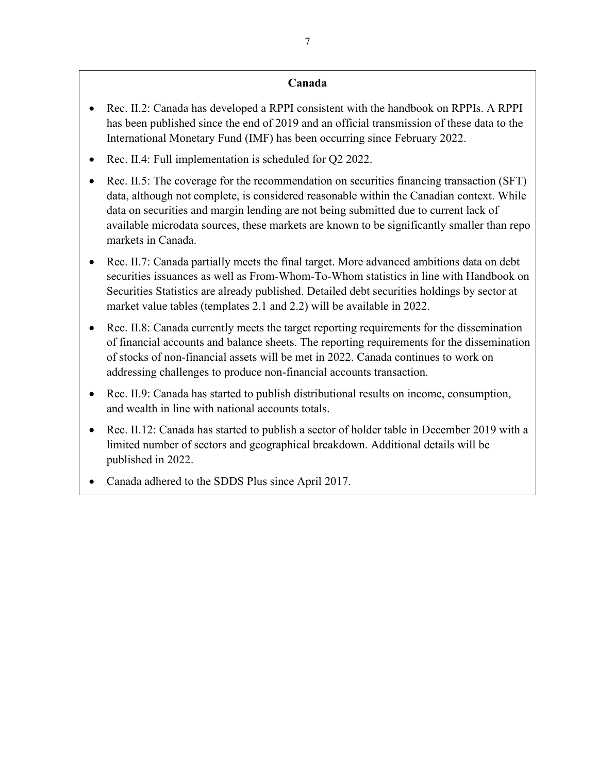## **Canada**

- Rec. II.2: Canada has developed a RPPI consistent with the handbook on RPPIs. A RPPI has been published since the end of 2019 and an official transmission of these data to the International Monetary Fund (IMF) has been occurring since February 2022.
- Rec. II.4: Full implementation is scheduled for Q2 2022.
- Rec. II.5: The coverage for the recommendation on securities financing transaction (SFT) data, although not complete, is considered reasonable within the Canadian context. While data on securities and margin lending are not being submitted due to current lack of available microdata sources, these markets are known to be significantly smaller than repo markets in Canada.
- Rec. II.7: Canada partially meets the final target. More advanced ambitions data on debt securities issuances as well as From-Whom-To-Whom statistics in line with Handbook on Securities Statistics are already published. Detailed debt securities holdings by sector at market value tables (templates 2.1 and 2.2) will be available in 2022.
- Rec. II.8: Canada currently meets the target reporting requirements for the dissemination of financial accounts and balance sheets. The reporting requirements for the dissemination of stocks of non-financial assets will be met in 2022. Canada continues to work on addressing challenges to produce non-financial accounts transaction.
- Rec. II.9: Canada has started to publish distributional results on income, consumption, and wealth in line with national accounts totals.
- Rec. II.12: Canada has started to publish a sector of holder table in December 2019 with a limited number of sectors and geographical breakdown. Additional details will be published in 2022.
- Canada adhered to the SDDS Plus since April 2017.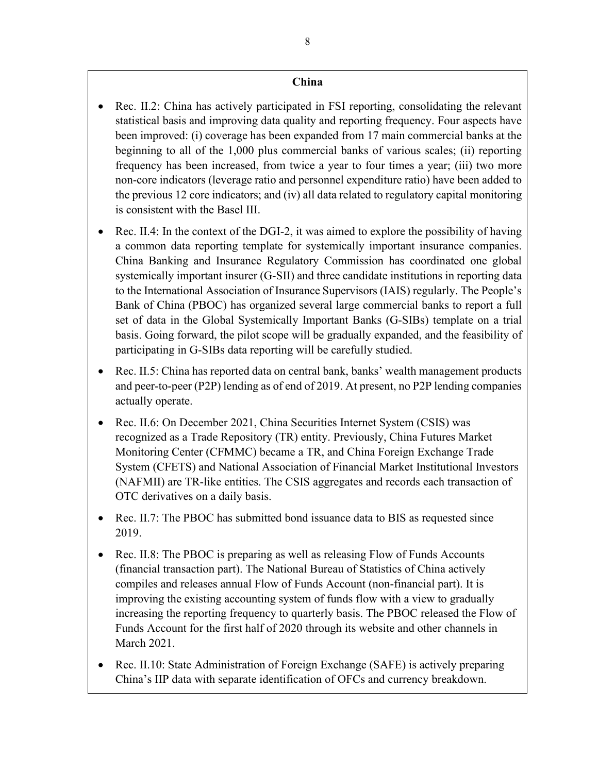### **China**

- Rec. II.2: China has actively participated in FSI reporting, consolidating the relevant statistical basis and improving data quality and reporting frequency. Four aspects have been improved: (i) coverage has been expanded from 17 main commercial banks at the beginning to all of the 1,000 plus commercial banks of various scales; (ii) reporting frequency has been increased, from twice a year to four times a year; (iii) two more non-core indicators (leverage ratio and personnel expenditure ratio) have been added to the previous 12 core indicators; and (iv) all data related to regulatory capital monitoring is consistent with the Basel III.
- Rec. II.4: In the context of the DGI-2, it was aimed to explore the possibility of having a common data reporting template for systemically important insurance companies. China Banking and Insurance Regulatory Commission has coordinated one global systemically important insurer (G-SII) and three candidate institutions in reporting data to the International Association of Insurance Supervisors (IAIS) regularly. The People's Bank of China (PBOC) has organized several large commercial banks to report a full set of data in the Global Systemically Important Banks (G-SIBs) template on a trial basis. Going forward, the pilot scope will be gradually expanded, and the feasibility of participating in G-SIBs data reporting will be carefully studied.
- Rec. II.5: China has reported data on central bank, banks' wealth management products and peer-to-peer (P2P) lending as of end of 2019. At present, no P2P lending companies actually operate.
- Rec. II.6: On December 2021, China Securities Internet System (CSIS) was recognized as a Trade Repository (TR) entity. Previously, China Futures Market Monitoring Center (CFMMC) became a TR, and China Foreign Exchange Trade System (CFETS) and National Association of Financial Market Institutional Investors (NAFMII) are TR-like entities. The CSIS aggregates and records each transaction of OTC derivatives on a daily basis.
- Rec. II.7: The PBOC has submitted bond issuance data to BIS as requested since 2019.
- Rec. II.8: The PBOC is preparing as well as releasing Flow of Funds Accounts (financial transaction part). The National Bureau of Statistics of China actively compiles and releases annual Flow of Funds Account (non-financial part). It is improving the existing accounting system of funds flow with a view to gradually increasing the reporting frequency to quarterly basis. The PBOC released the Flow of Funds Account for the first half of 2020 through its website and other channels in March 2021.
- Rec. II.10: State Administration of Foreign Exchange (SAFE) is actively preparing China's IIP data with separate identification of OFCs and currency breakdown.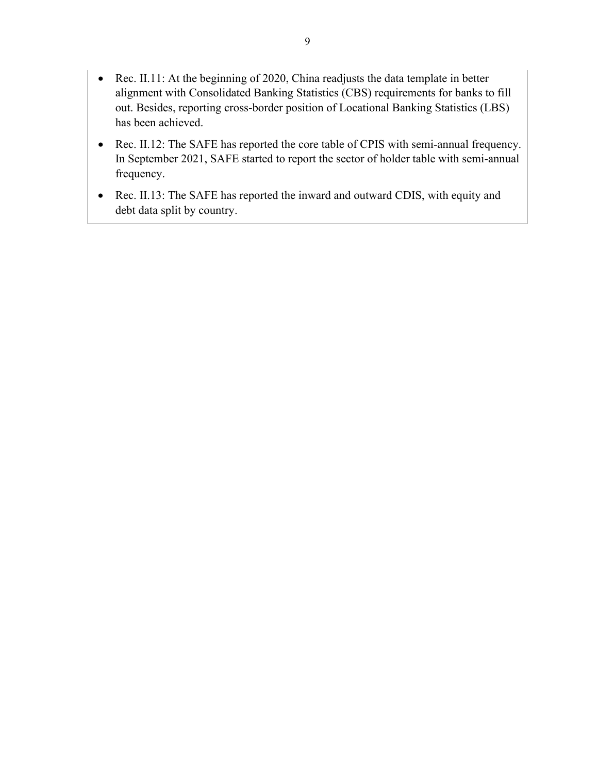- Rec. II.11: At the beginning of 2020, China readjusts the data template in better alignment with Consolidated Banking Statistics (CBS) requirements for banks to fill out. Besides, reporting cross-border position of Locational Banking Statistics (LBS) has been achieved.
- Rec. II.12: The SAFE has reported the core table of CPIS with semi-annual frequency. In September 2021, SAFE started to report the sector of holder table with semi-annual frequency.
- Rec. II.13: The SAFE has reported the inward and outward CDIS, with equity and debt data split by country.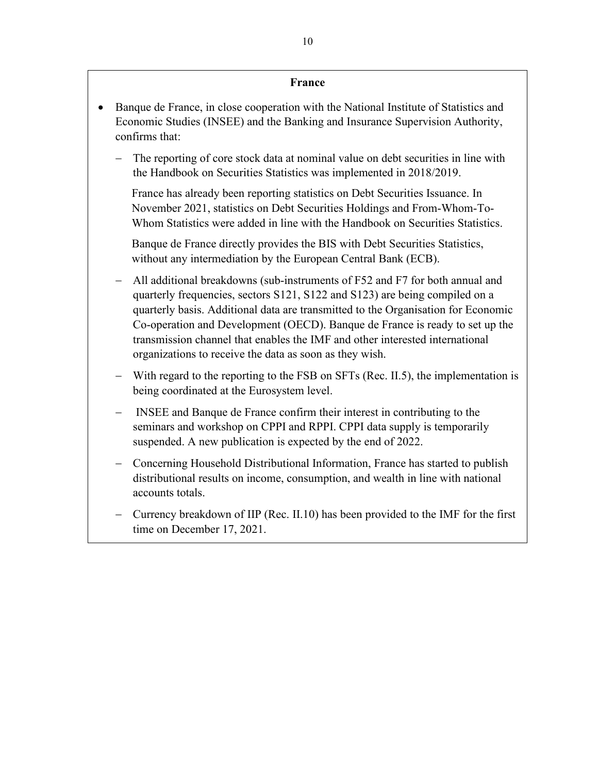#### **France**

- Banque de France, in close cooperation with the National Institute of Statistics and Economic Studies (INSEE) and the Banking and Insurance Supervision Authority, confirms that:
	- The reporting of core stock data at nominal value on debt securities in line with the Handbook on Securities Statistics was implemented in 2018/2019.

France has already been reporting statistics on Debt Securities Issuance. In November 2021, statistics on Debt Securities Holdings and From-Whom-To-Whom Statistics were added in line with the Handbook on Securities Statistics.

Banque de France directly provides the BIS with Debt Securities Statistics, without any intermediation by the European Central Bank (ECB).

- − All additional breakdowns (sub-instruments of F52 and F7 for both annual and quarterly frequencies, sectors S121, S122 and S123) are being compiled on a quarterly basis. Additional data are transmitted to the Organisation for Economic Co-operation and Development (OECD). Banque de France is ready to set up the transmission channel that enables the IMF and other interested international organizations to receive the data as soon as they wish.
- With regard to the reporting to the FSB on SFTs (Rec. II.5), the implementation is being coordinated at the Eurosystem level.
- − INSEE and Banque de France confirm their interest in contributing to the seminars and workshop on CPPI and RPPI. CPPI data supply is temporarily suspended. A new publication is expected by the end of 2022.
- − Concerning Household Distributional Information, France has started to publish distributional results on income, consumption, and wealth in line with national accounts totals.
- − Currency breakdown of IIP (Rec. II.10) has been provided to the IMF for the first time on December 17, 2021.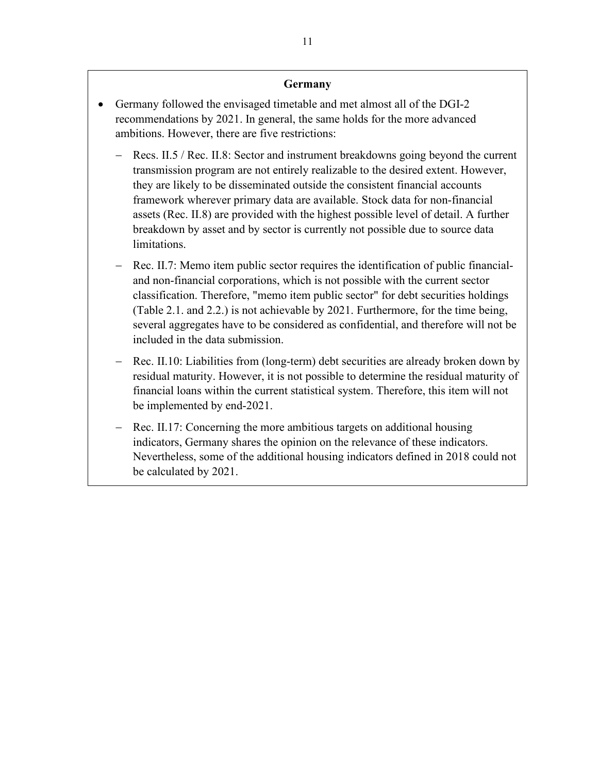#### **Germany**

- Germany followed the envisaged timetable and met almost all of the DGI-2 recommendations by 2021. In general, the same holds for the more advanced ambitions. However, there are five restrictions:
	- Recs. II.5 / Rec. II.8: Sector and instrument breakdowns going beyond the current transmission program are not entirely realizable to the desired extent. However, they are likely to be disseminated outside the consistent financial accounts framework wherever primary data are available. Stock data for non-financial assets (Rec. II.8) are provided with the highest possible level of detail. A further breakdown by asset and by sector is currently not possible due to source data limitations.
	- − Rec. II.7: Memo item public sector requires the identification of public financialand non-financial corporations, which is not possible with the current sector classification. Therefore, "memo item public sector" for debt securities holdings (Table 2.1. and 2.2.) is not achievable by 2021. Furthermore, for the time being, several aggregates have to be considered as confidential, and therefore will not be included in the data submission.
	- Rec. II.10: Liabilities from (long-term) debt securities are already broken down by residual maturity. However, it is not possible to determine the residual maturity of financial loans within the current statistical system. Therefore, this item will not be implemented by end-2021.
	- Rec. II.17: Concerning the more ambitious targets on additional housing indicators, Germany shares the opinion on the relevance of these indicators. Nevertheless, some of the additional housing indicators defined in 2018 could not be calculated by 2021.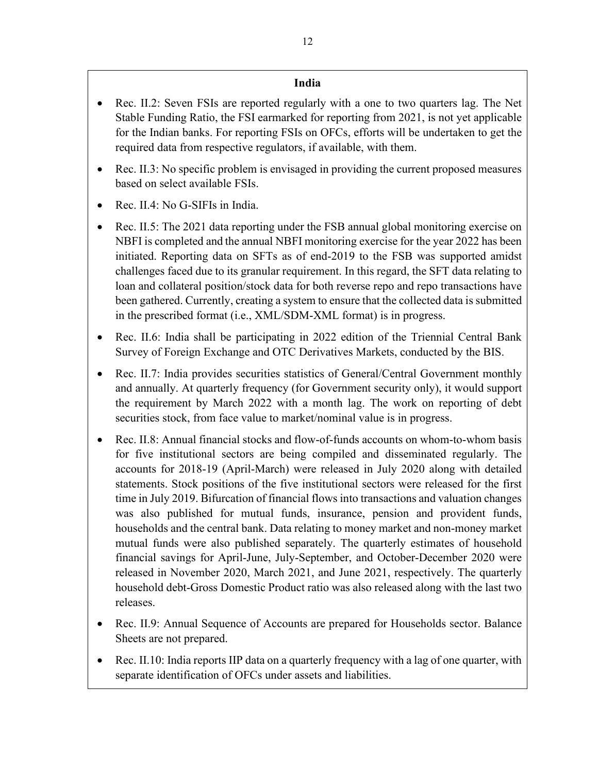## **India**

- Rec. II.2: Seven FSIs are reported regularly with a one to two quarters lag. The Net Stable Funding Ratio, the FSI earmarked for reporting from 2021, is not yet applicable for the Indian banks. For reporting FSIs on OFCs, efforts will be undertaken to get the required data from respective regulators, if available, with them.
- Rec. II.3: No specific problem is envisaged in providing the current proposed measures based on select available FSIs.
- Rec. II.4: No G-SIFIs in India.
- Rec. II.5: The 2021 data reporting under the FSB annual global monitoring exercise on NBFI is completed and the annual NBFI monitoring exercise for the year 2022 has been initiated. Reporting data on SFTs as of end-2019 to the FSB was supported amidst challenges faced due to its granular requirement. In this regard, the SFT data relating to loan and collateral position/stock data for both reverse repo and repo transactions have been gathered. Currently, creating a system to ensure that the collected data is submitted in the prescribed format (i.e., XML/SDM-XML format) is in progress.
- Rec. II.6: India shall be participating in 2022 edition of the Triennial Central Bank Survey of Foreign Exchange and OTC Derivatives Markets, conducted by the BIS.
- Rec. II.7: India provides securities statistics of General/Central Government monthly and annually. At quarterly frequency (for Government security only), it would support the requirement by March 2022 with a month lag. The work on reporting of debt securities stock, from face value to market/nominal value is in progress.
- Rec. II.8: Annual financial stocks and flow-of-funds accounts on whom-to-whom basis for five institutional sectors are being compiled and disseminated regularly. The accounts for 2018-19 (April-March) were released in July 2020 along with detailed statements. Stock positions of the five institutional sectors were released for the first time in July 2019. Bifurcation of financial flows into transactions and valuation changes was also published for mutual funds, insurance, pension and provident funds, households and the central bank. Data relating to money market and non-money market mutual funds were also published separately. The quarterly estimates of household financial savings for April-June, July-September, and October-December 2020 were released in November 2020, March 2021, and June 2021, respectively. The quarterly household debt-Gross Domestic Product ratio was also released along with the last two releases.
- Rec. II.9: Annual Sequence of Accounts are prepared for Households sector. Balance Sheets are not prepared.
- Rec. II.10: India reports IIP data on a quarterly frequency with a lag of one quarter, with separate identification of OFCs under assets and liabilities.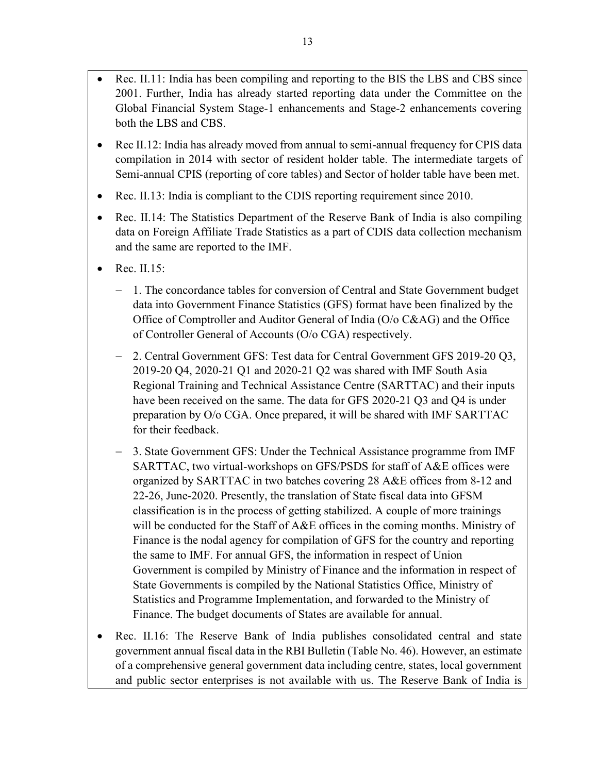- Rec. II.11: India has been compiling and reporting to the BIS the LBS and CBS since 2001. Further, India has already started reporting data under the Committee on the Global Financial System Stage-1 enhancements and Stage-2 enhancements covering both the LBS and CBS.
- Rec II.12: India has already moved from annual to semi-annual frequency for CPIS data compilation in 2014 with sector of resident holder table. The intermediate targets of Semi-annual CPIS (reporting of core tables) and Sector of holder table have been met.
- Rec. II.13: India is compliant to the CDIS reporting requirement since 2010.
- Rec. II.14: The Statistics Department of the Reserve Bank of India is also compiling data on Foreign Affiliate Trade Statistics as a part of CDIS data collection mechanism and the same are reported to the IMF.
- $\bullet$  Rec. II.15:
	- − 1. The concordance tables for conversion of Central and State Government budget data into Government Finance Statistics (GFS) format have been finalized by the Office of Comptroller and Auditor General of India (O/o C&AG) and the Office of Controller General of Accounts (O/o CGA) respectively.
	- − 2. Central Government GFS: Test data for Central Government GFS 2019-20 Q3, 2019-20 Q4, 2020-21 Q1 and 2020-21 Q2 was shared with IMF South Asia Regional Training and Technical Assistance Centre (SARTTAC) and their inputs have been received on the same. The data for GFS 2020-21 Q3 and Q4 is under preparation by O/o CGA. Once prepared, it will be shared with IMF SARTTAC for their feedback.
	- − 3. State Government GFS: Under the Technical Assistance programme from IMF SARTTAC, two virtual-workshops on GFS/PSDS for staff of A&E offices were organized by SARTTAC in two batches covering 28 A&E offices from 8-12 and 22-26, June-2020. Presently, the translation of State fiscal data into GFSM classification is in the process of getting stabilized. A couple of more trainings will be conducted for the Staff of A&E offices in the coming months. Ministry of Finance is the nodal agency for compilation of GFS for the country and reporting the same to IMF. For annual GFS, the information in respect of Union Government is compiled by Ministry of Finance and the information in respect of State Governments is compiled by the National Statistics Office, Ministry of Statistics and Programme Implementation, and forwarded to the Ministry of Finance. The budget documents of States are available for annual.
- Rec. II.16: The Reserve Bank of India publishes consolidated central and state government annual fiscal data in the RBI Bulletin (Table No. 46). However, an estimate of a comprehensive general government data including centre, states, local government and public sector enterprises is not available with us. The Reserve Bank of India is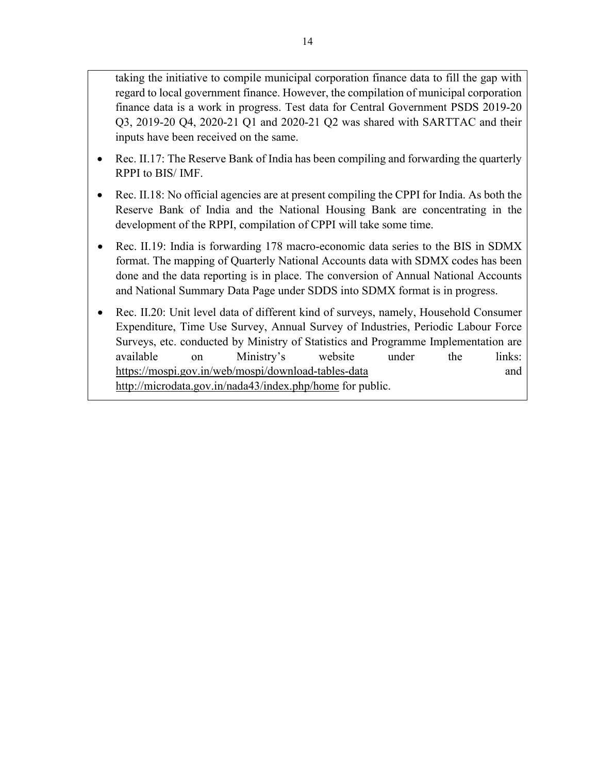taking the initiative to compile municipal corporation finance data to fill the gap with regard to local government finance. However, the compilation of municipal corporation finance data is a work in progress. Test data for Central Government PSDS 2019-20 Q3, 2019-20 Q4, 2020-21 Q1 and 2020-21 Q2 was shared with SARTTAC and their inputs have been received on the same.

- Rec. II.17: The Reserve Bank of India has been compiling and forwarding the quarterly RPPI to BIS/ IMF.
- Rec. II.18: No official agencies are at present compiling the CPPI for India. As both the Reserve Bank of India and the National Housing Bank are concentrating in the development of the RPPI, compilation of CPPI will take some time.
- Rec. II.19: India is forwarding 178 macro-economic data series to the BIS in SDMX format. The mapping of Quarterly National Accounts data with SDMX codes has been done and the data reporting is in place. The conversion of Annual National Accounts and National Summary Data Page under SDDS into SDMX format is in progress.
- Rec. II.20: Unit level data of different kind of surveys, namely, Household Consumer Expenditure, Time Use Survey, Annual Survey of Industries, Periodic Labour Force Surveys, etc. conducted by Ministry of Statistics and Programme Implementation are available on Ministry's website under the links: <https://mospi.gov.in/web/mospi/download-tables-data> and <http://microdata.gov.in/nada43/index.php/home>for public.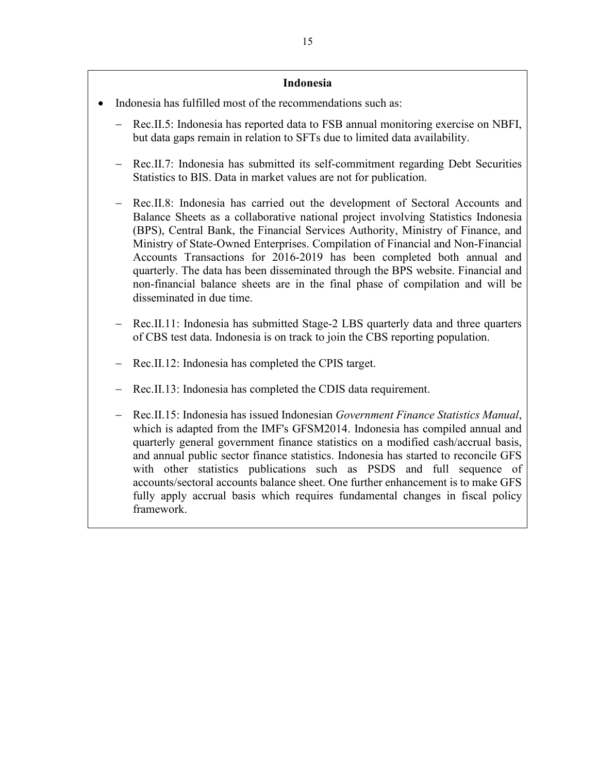#### **Indonesia**

- Indonesia has fulfilled most of the recommendations such as:
	- − Rec.II.5: Indonesia has reported data to FSB annual monitoring exercise on NBFI, but data gaps remain in relation to SFTs due to limited data availability.
	- Rec.II.7: Indonesia has submitted its self-commitment regarding Debt Securities Statistics to BIS. Data in market values are not for publication.
	- Rec.II.8: Indonesia has carried out the development of Sectoral Accounts and Balance Sheets as a collaborative national project involving Statistics Indonesia (BPS), Central Bank, the Financial Services Authority, Ministry of Finance, and Ministry of State-Owned Enterprises. Compilation of Financial and Non-Financial Accounts Transactions for 2016-2019 has been completed both annual and quarterly. The data has been disseminated through the BPS website. Financial and non-financial balance sheets are in the final phase of compilation and will be disseminated in due time.
	- Rec.II.11: Indonesia has submitted Stage-2 LBS quarterly data and three quarters of CBS test data. Indonesia is on track to join the CBS reporting population.
	- Rec.II.12: Indonesia has completed the CPIS target.
	- Rec.II.13: Indonesia has completed the CDIS data requirement.
	- − Rec.II.15: Indonesia has issued Indonesian *Government Finance Statistics Manual*, which is adapted from the IMF's GFSM2014. Indonesia has compiled annual and quarterly general government finance statistics on a modified cash/accrual basis, and annual public sector finance statistics. Indonesia has started to reconcile GFS with other statistics publications such as PSDS and full sequence of accounts/sectoral accounts balance sheet. One further enhancement is to make GFS fully apply accrual basis which requires fundamental changes in fiscal policy framework.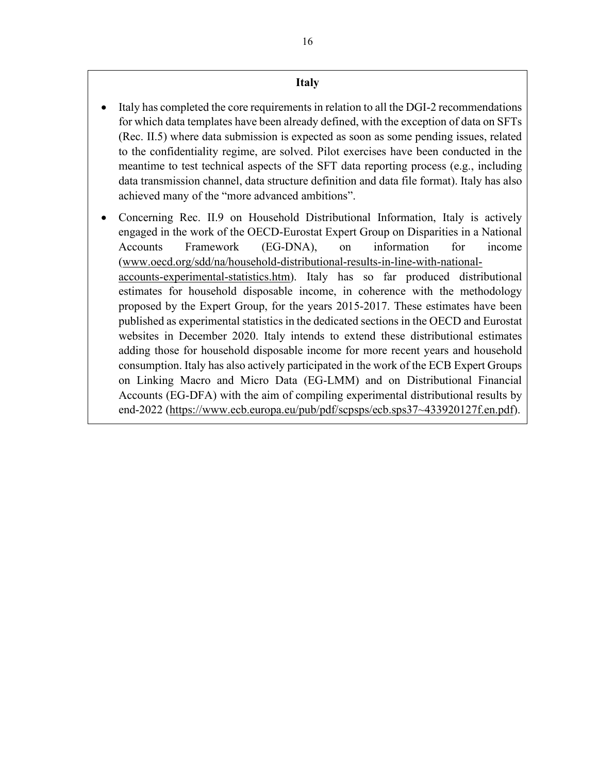## **Italy**

- Italy has completed the core requirements in relation to all the DGI-2 recommendations for which data templates have been already defined, with the exception of data on SFTs (Rec. II.5) where data submission is expected as soon as some pending issues, related to the confidentiality regime, are solved. Pilot exercises have been conducted in the meantime to test technical aspects of the SFT data reporting process (e.g., including data transmission channel, data structure definition and data file format). Italy has also achieved many of the "more advanced ambitions".
- Concerning Rec. II.9 on Household Distributional Information, Italy is actively engaged in the work of the OECD-Eurostat Expert Group on Disparities in a National Accounts Framework (EG-DNA), on information for income [\(www.oecd.org/sdd/na/household-distributional-results-in-line-with-national](http://www.oecd.org/sdd/na/household-distributional-results-in-line-with-national-accounts-experimental-statistics.htm)[accounts-experimental-statistics.htm\)](http://www.oecd.org/sdd/na/household-distributional-results-in-line-with-national-accounts-experimental-statistics.htm). Italy has so far produced distributional estimates for household disposable income, in coherence with the methodology proposed by the Expert Group, for the years 2015-2017. These estimates have been published as experimental statistics in the dedicated sections in the OECD and Eurostat websites in December 2020. Italy intends to extend these distributional estimates adding those for household disposable income for more recent years and household consumption. Italy has also actively participated in the work of the ECB Expert Groups on Linking Macro and Micro Data (EG-LMM) and on Distributional Financial Accounts (EG-DFA) with the aim of compiling experimental distributional results by end-2022 [\(https://www.ecb.europa.eu/pub/pdf/scpsps/ecb.sps37~433920127f.en.pdf\)](https://www.ecb.europa.eu/pub/pdf/scpsps/ecb.sps37%7E433920127f.en.pdf).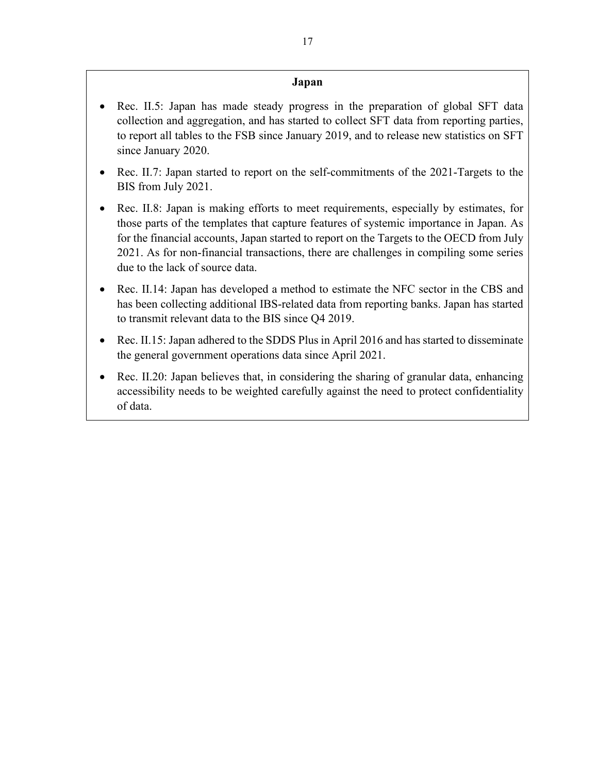## **Japan**

- Rec. II.5: Japan has made steady progress in the preparation of global SFT data collection and aggregation, and has started to collect SFT data from reporting parties, to report all tables to the FSB since January 2019, and to release new statistics on SFT since January 2020.
- Rec. II.7: Japan started to report on the self-commitments of the 2021-Targets to the BIS from July 2021.
- Rec. II.8: Japan is making efforts to meet requirements, especially by estimates, for those parts of the templates that capture features of systemic importance in Japan. As for the financial accounts, Japan started to report on the Targets to the OECD from July 2021. As for non-financial transactions, there are challenges in compiling some series due to the lack of source data.
- Rec. II.14: Japan has developed a method to estimate the NFC sector in the CBS and has been collecting additional IBS-related data from reporting banks. Japan has started to transmit relevant data to the BIS since Q4 2019.
- Rec. II.15: Japan adhered to the SDDS Plus in April 2016 and has started to disseminate the general government operations data since April 2021.
- Rec. II.20: Japan believes that, in considering the sharing of granular data, enhancing accessibility needs to be weighted carefully against the need to protect confidentiality of data.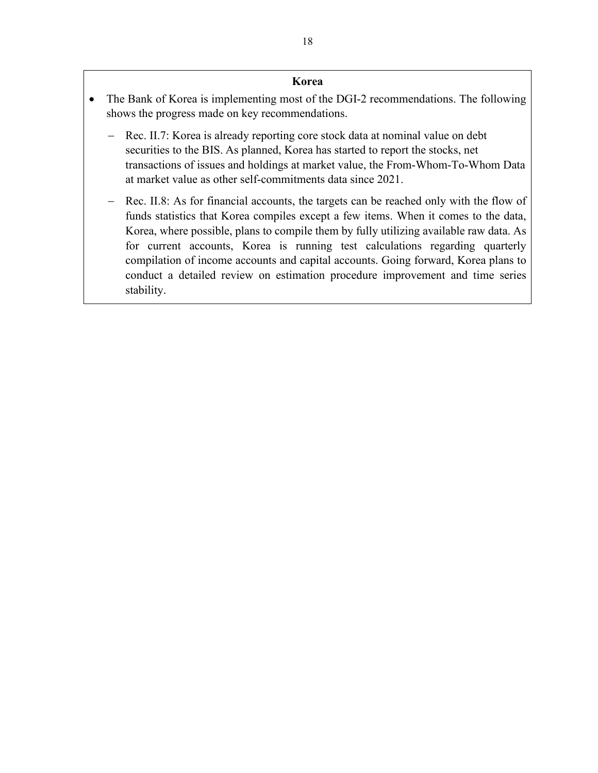#### **Korea**

- The Bank of Korea is implementing most of the DGI-2 recommendations. The following shows the progress made on key recommendations.
	- − Rec. II.7: Korea is already reporting core stock data at nominal value on debt securities to the BIS. As planned, Korea has started to report the stocks, net transactions of issues and holdings at market value, the From-Whom-To-Whom Data at market value as other self-commitments data since 2021.
	- − Rec. II.8: As for financial accounts, the targets can be reached only with the flow of funds statistics that Korea compiles except a few items. When it comes to the data, Korea, where possible, plans to compile them by fully utilizing available raw data. As for current accounts, Korea is running test calculations regarding quarterly compilation of income accounts and capital accounts. Going forward, Korea plans to conduct a detailed review on estimation procedure improvement and time series stability.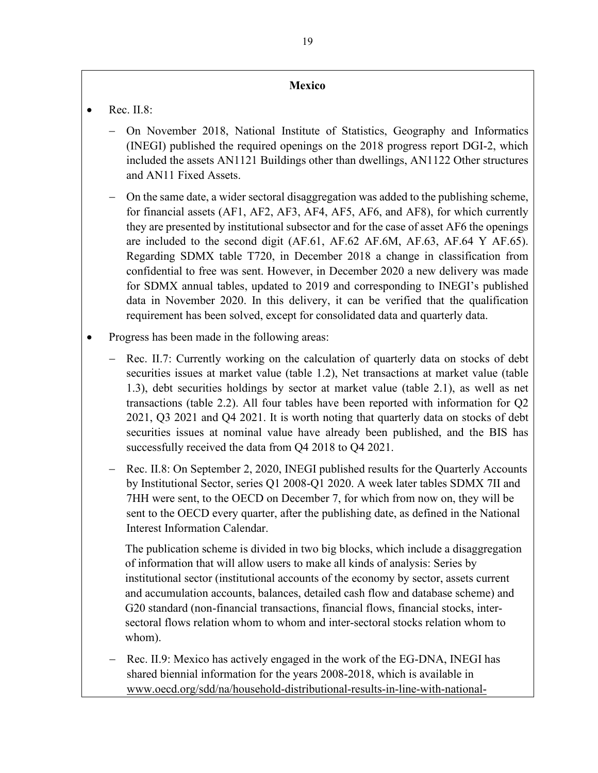#### **Mexico**

- $\bullet$  Rec. II.8:
	- − On November 2018, National Institute of Statistics, Geography and Informatics (INEGI) published the required openings on the 2018 progress report DGI-2, which included the assets AN1121 Buildings other than dwellings, AN1122 Other structures and AN11 Fixed Assets.
	- On the same date, a wider sectoral disaggregation was added to the publishing scheme, for financial assets (AF1, AF2, AF3, AF4, AF5, AF6, and AF8), for which currently they are presented by institutional subsector and for the case of asset AF6 the openings are included to the second digit (AF.61, AF.62 AF.6M, AF.63, AF.64 Y AF.65). Regarding SDMX table T720, in December 2018 a change in classification from confidential to free was sent. However, in December 2020 a new delivery was made for SDMX annual tables, updated to 2019 and corresponding to INEGI's published data in November 2020. In this delivery, it can be verified that the qualification requirement has been solved, except for consolidated data and quarterly data.
- Progress has been made in the following areas:
	- Rec. II.7: Currently working on the calculation of quarterly data on stocks of debt securities issues at market value (table 1.2), Net transactions at market value (table 1.3), debt securities holdings by sector at market value (table 2.1), as well as net transactions (table 2.2). All four tables have been reported with information for Q2 2021, Q3 2021 and Q4 2021. It is worth noting that quarterly data on stocks of debt securities issues at nominal value have already been published, and the BIS has successfully received the data from Q4 2018 to Q4 2021.
	- − Rec. II.8: On September 2, 2020, INEGI published results for the Quarterly Accounts by Institutional Sector, series Q1 2008-Q1 2020. A week later tables SDMX 7II and 7HH were sent, to the OECD on December 7, for which from now on, they will be sent to the OECD every quarter, after the publishing date, as defined in the National Interest Information Calendar.

The publication scheme is divided in two big blocks, which include a disaggregation of information that will allow users to make all kinds of analysis: Series by institutional sector (institutional accounts of the economy by sector, assets current and accumulation accounts, balances, detailed cash flow and database scheme) and G20 standard (non-financial transactions, financial flows, financial stocks, intersectoral flows relation whom to whom and inter-sectoral stocks relation whom to whom).

Rec. II.9: Mexico has actively engaged in the work of the EG-DNA, INEGI has shared biennial information for the years 2008-2018, which is available in [www.oecd.org/sdd/na/household-distributional-results-in-line-with-national-](http://www.oecd.org/sdd/na/household-distributional-results-in-line-with-national-accounts-experimental-statistics.htm)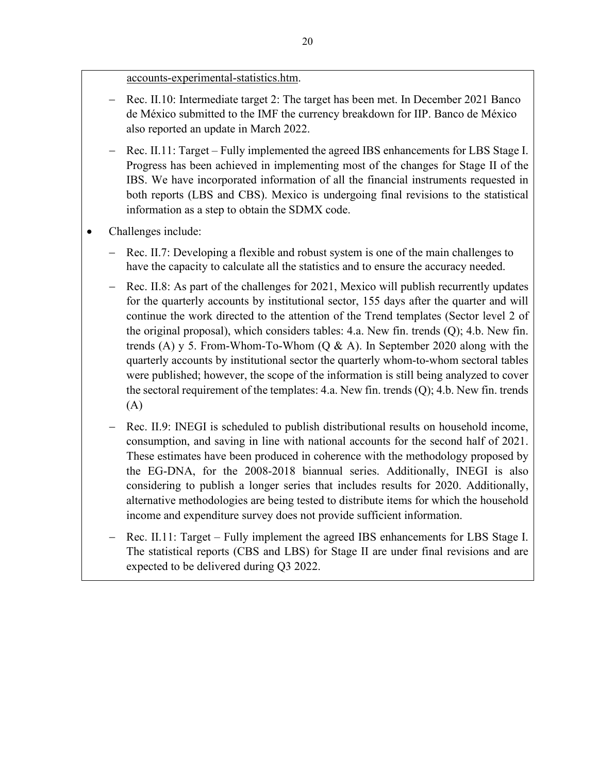[accounts-experimental-statistics.htm.](http://www.oecd.org/sdd/na/household-distributional-results-in-line-with-national-accounts-experimental-statistics.htm)

- − Rec. II.10: Intermediate target 2: The target has been met. In December 2021 Banco de México submitted to the IMF the currency breakdown for IIP. Banco de México also reported an update in March 2022.
- − Rec. II.11: Target Fully implemented the agreed IBS enhancements for LBS Stage I. Progress has been achieved in implementing most of the changes for Stage II of the IBS. We have incorporated information of all the financial instruments requested in both reports (LBS and CBS). Mexico is undergoing final revisions to the statistical information as a step to obtain the SDMX code.
- Challenges include:
	- Rec. II.7: Developing a flexible and robust system is one of the main challenges to have the capacity to calculate all the statistics and to ensure the accuracy needed.
	- Rec. II.8: As part of the challenges for 2021, Mexico will publish recurrently updates for the quarterly accounts by institutional sector, 155 days after the quarter and will continue the work directed to the attention of the Trend templates (Sector level 2 of the original proposal), which considers tables: 4.a. New fin. trends (Q); 4.b. New fin. trends (A) y 5. From-Whom-To-Whom (Q & A). In September 2020 along with the quarterly accounts by institutional sector the quarterly whom-to-whom sectoral tables were published; however, the scope of the information is still being analyzed to cover the sectoral requirement of the templates: 4.a. New fin. trends (Q); 4.b. New fin. trends (A)
	- − Rec. II.9: INEGI is scheduled to publish distributional results on household income, consumption, and saving in line with national accounts for the second half of 2021. These estimates have been produced in coherence with the methodology proposed by the EG-DNA, for the 2008-2018 biannual series. Additionally, INEGI is also considering to publish a longer series that includes results for 2020. Additionally, alternative methodologies are being tested to distribute items for which the household income and expenditure survey does not provide sufficient information.
	- − Rec. II.11: Target Fully implement the agreed IBS enhancements for LBS Stage I. The statistical reports (CBS and LBS) for Stage II are under final revisions and are expected to be delivered during Q3 2022.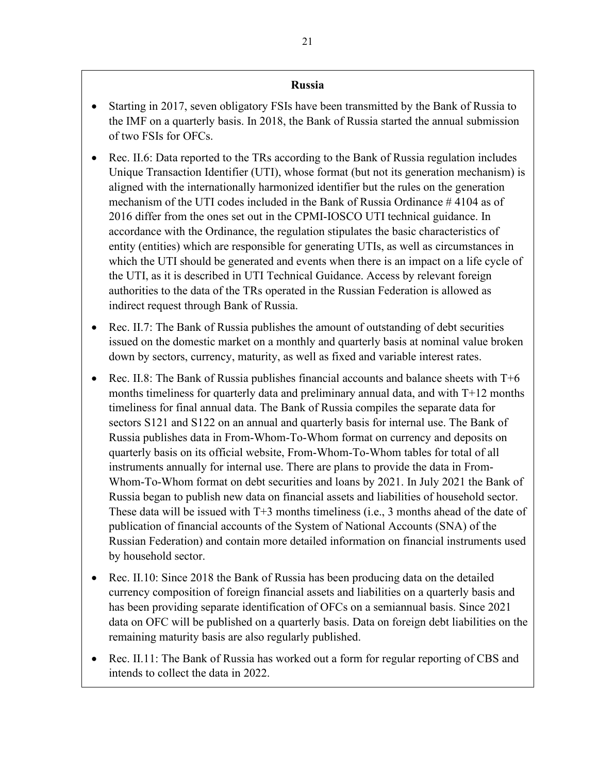#### **Russia**

- Starting in 2017, seven obligatory FSIs have been transmitted by the Bank of Russia to the IMF on a quarterly basis. In 2018, the Bank of Russia started the annual submission of two FSIs for OFCs.
- Rec. II.6: Data reported to the TRs according to the Bank of Russia regulation includes Unique Transaction Identifier (UTI), whose format (but not its generation mechanism) is aligned with the internationally harmonized identifier but the rules on the generation mechanism of the UTI codes included in the Bank of Russia Ordinance # 4104 as of 2016 differ from the ones set out in the CPMI-IOSCO UTI technical guidance. In accordance with the Ordinance, the regulation stipulates the basic characteristics of entity (entities) which are responsible for generating UTIs, as well as circumstances in which the UTI should be generated and events when there is an impact on a life cycle of the UTI, as it is described in UTI Technical Guidance. Access by relevant foreign authorities to the data of the TRs operated in the Russian Federation is allowed as indirect request through Bank of Russia.
- Rec. II.7: The Bank of Russia publishes the amount of outstanding of debt securities issued on the domestic market on a monthly and quarterly basis at nominal value broken down by sectors, currency, maturity, as well as fixed and variable interest rates.
- Rec. II.8: The Bank of Russia publishes financial accounts and balance sheets with T+6 months timeliness for quarterly data and preliminary annual data, and with T+12 months timeliness for final annual data. The Bank of Russia compiles the separate data for sectors S121 and S122 on an annual and quarterly basis for internal use. The Bank of Russia publishes data in From-Whom-To-Whom format on currency and deposits on quarterly basis on its official website, From-Whom-To-Whom tables for total of all instruments annually for internal use. There are plans to provide the data in From-Whom-To-Whom format on debt securities and loans by 2021. In July 2021 the Bank of Russia began to publish new data on financial assets and liabilities of household sector. These data will be issued with T+3 months timeliness (i.e., 3 months ahead of the date of publication of financial accounts of the System of National Accounts (SNA) of the Russian Federation) and contain more detailed information on financial instruments used by household sector.
- Rec. II.10: Since 2018 the Bank of Russia has been producing data on the detailed currency composition of foreign financial assets and liabilities on a quarterly basis and has been providing separate identification of OFCs on a semiannual basis. Since 2021 data on OFC will be published on a quarterly basis. Data on foreign debt liabilities on the remaining maturity basis are also regularly published.
- Rec. II.11: The Bank of Russia has worked out a form for regular reporting of CBS and intends to collect the data in 2022.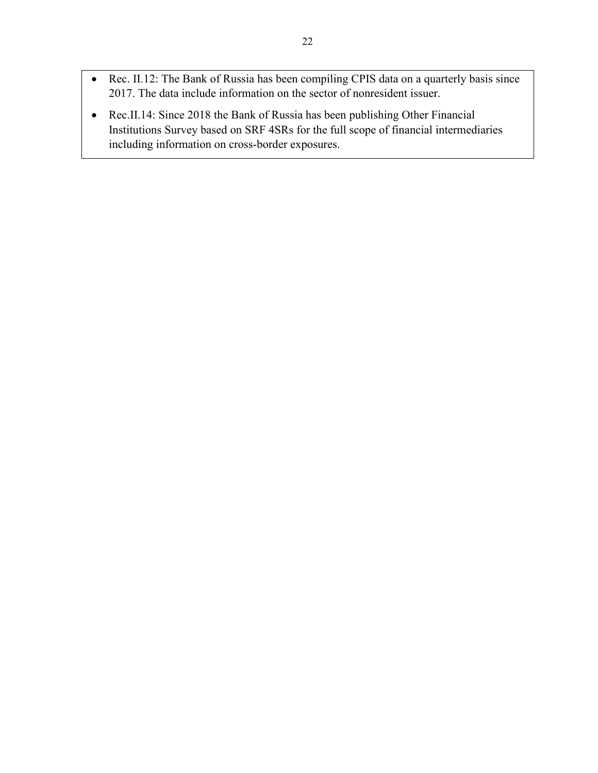- Rec. II.12: The Bank of Russia has been compiling CPIS data on a quarterly basis since 2017. The data include information on the sector of nonresident issuer.
- Rec.II.14: Since 2018 the Bank of Russia has been publishing Other Financial Institutions Survey based on SRF 4SRs for the full scope of financial intermediaries including information on cross-border exposures.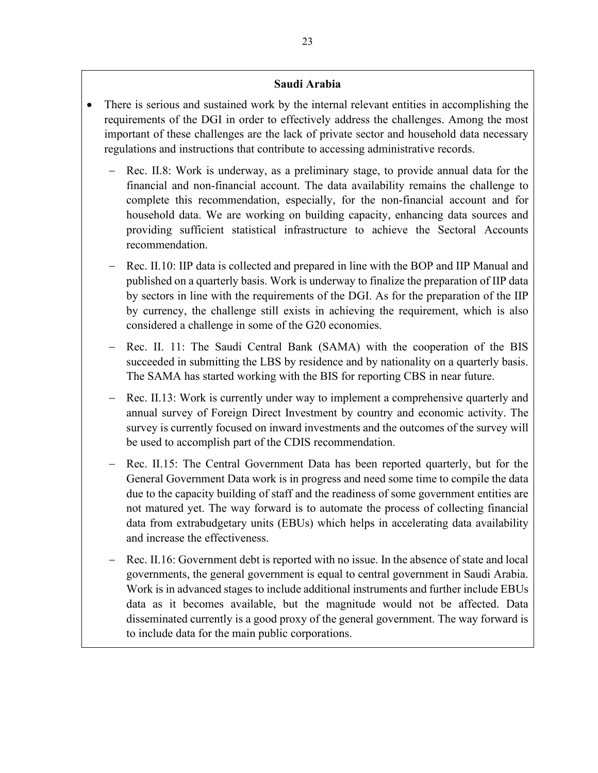#### **Saudi Arabia**

- There is serious and sustained work by the internal relevant entities in accomplishing the requirements of the DGI in order to effectively address the challenges. Among the most important of these challenges are the lack of private sector and household data necessary regulations and instructions that contribute to accessing administrative records.
	- Rec. II.8: Work is underway, as a preliminary stage, to provide annual data for the financial and non-financial account. The data availability remains the challenge to complete this recommendation, especially, for the non-financial account and for household data. We are working on building capacity, enhancing data sources and providing sufficient statistical infrastructure to achieve the Sectoral Accounts recommendation.
	- Rec. II.10: IIP data is collected and prepared in line with the BOP and IIP Manual and published on a quarterly basis. Work is underway to finalize the preparation of IIP data by sectors in line with the requirements of the DGI. As for the preparation of the IIP by currency, the challenge still exists in achieving the requirement, which is also considered a challenge in some of the G20 economies.
	- − Rec. II. 11: The Saudi Central Bank (SAMA) with the cooperation of the BIS succeeded in submitting the LBS by residence and by nationality on a quarterly basis. The SAMA has started working with the BIS for reporting CBS in near future.
	- Rec. II.13: Work is currently under way to implement a comprehensive quarterly and annual survey of Foreign Direct Investment by country and economic activity. The survey is currently focused on inward investments and the outcomes of the survey will be used to accomplish part of the CDIS recommendation.
	- − Rec. II.15: The Central Government Data has been reported quarterly, but for the General Government Data work is in progress and need some time to compile the data due to the capacity building of staff and the readiness of some government entities are not matured yet. The way forward is to automate the process of collecting financial data from extrabudgetary units (EBUs) which helps in accelerating data availability and increase the effectiveness.
	- − Rec. II.16: Government debt is reported with no issue. In the absence of state and local governments, the general government is equal to central government in Saudi Arabia. Work is in advanced stages to include additional instruments and further include EBUs data as it becomes available, but the magnitude would not be affected. Data disseminated currently is a good proxy of the general government. The way forward is to include data for the main public corporations.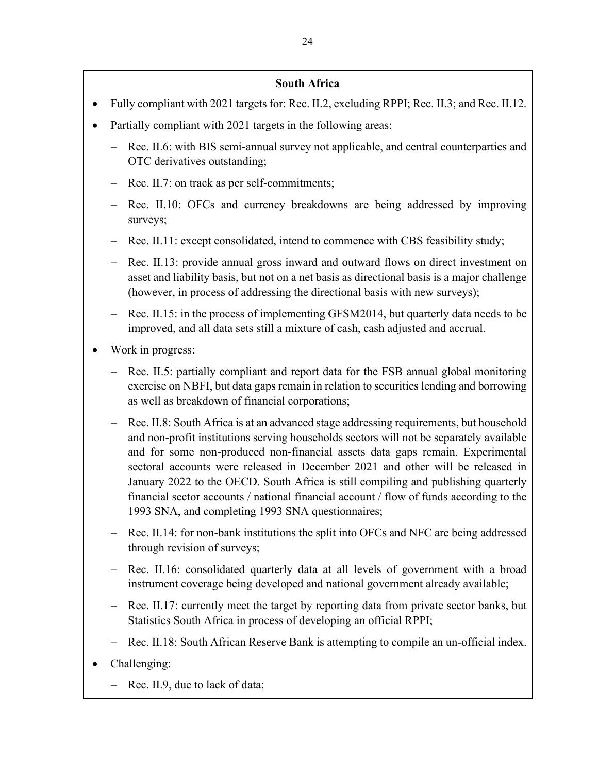## **South Africa**

- Fully compliant with 2021 targets for: Rec. II.2, excluding RPPI; Rec. II.3; and Rec. II.12.
- Partially compliant with 2021 targets in the following areas:
	- − Rec. II.6: with BIS semi-annual survey not applicable, and central counterparties and OTC derivatives outstanding;
	- − Rec. II.7: on track as per self-commitments;
	- Rec. II.10: OFCs and currency breakdowns are being addressed by improving surveys;
	- Rec. II.11: except consolidated, intend to commence with CBS feasibility study;
	- Rec. II.13: provide annual gross inward and outward flows on direct investment on asset and liability basis, but not on a net basis as directional basis is a major challenge (however, in process of addressing the directional basis with new surveys);
	- − Rec. II.15: in the process of implementing GFSM2014, but quarterly data needs to be improved, and all data sets still a mixture of cash, cash adjusted and accrual.
- Work in progress:
	- Rec. II.5: partially compliant and report data for the FSB annual global monitoring exercise on NBFI, but data gaps remain in relation to securities lending and borrowing as well as breakdown of financial corporations;
	- Rec. II.8: South Africa is at an advanced stage addressing requirements, but household and non-profit institutions serving households sectors will not be separately available and for some non-produced non-financial assets data gaps remain. Experimental sectoral accounts were released in December 2021 and other will be released in January 2022 to the OECD. South Africa is still compiling and publishing quarterly financial sector accounts / national financial account / flow of funds according to the 1993 SNA, and completing 1993 SNA questionnaires;
	- − Rec. II.14: for non-bank institutions the split into OFCs and NFC are being addressed through revision of surveys;
	- − Rec. II.16: consolidated quarterly data at all levels of government with a broad instrument coverage being developed and national government already available;
	- Rec. II.17: currently meet the target by reporting data from private sector banks, but Statistics South Africa in process of developing an official RPPI;
	- Rec. II.18: South African Reserve Bank is attempting to compile an un-official index.
- Challenging:
	- − Rec. II.9, due to lack of data;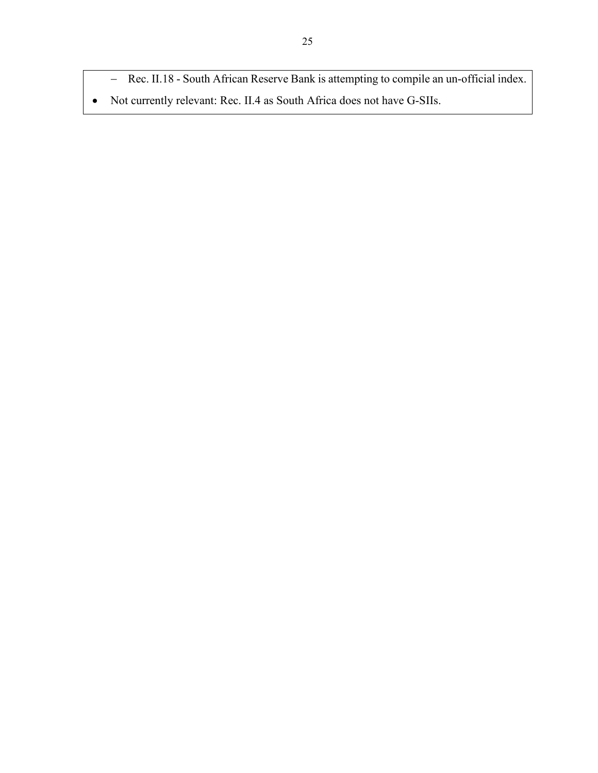- − Rec. II.18 South African Reserve Bank is attempting to compile an un-official index.
- Not currently relevant: Rec. II.4 as South Africa does not have G-SIIs.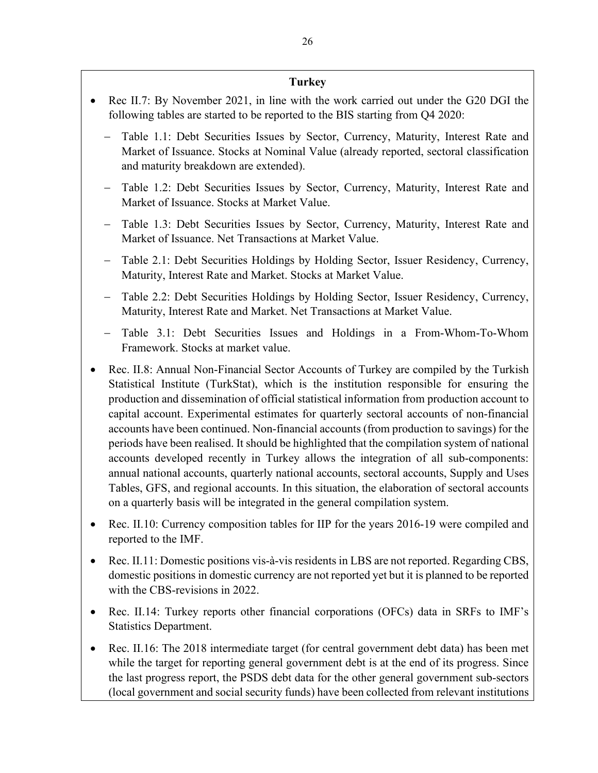#### **Turkey**

- Rec II.7: By November 2021, in line with the work carried out under the G20 DGI the following tables are started to be reported to the BIS starting from Q4 2020:
	- − Table 1.1: Debt Securities Issues by Sector, Currency, Maturity, Interest Rate and Market of Issuance. Stocks at Nominal Value (already reported, sectoral classification and maturity breakdown are extended).
	- − Table 1.2: Debt Securities Issues by Sector, Currency, Maturity, Interest Rate and Market of Issuance. Stocks at Market Value.
	- − Table 1.3: Debt Securities Issues by Sector, Currency, Maturity, Interest Rate and Market of Issuance. Net Transactions at Market Value.
	- − Table 2.1: Debt Securities Holdings by Holding Sector, Issuer Residency, Currency, Maturity, Interest Rate and Market. Stocks at Market Value.
	- − Table 2.2: Debt Securities Holdings by Holding Sector, Issuer Residency, Currency, Maturity, Interest Rate and Market. Net Transactions at Market Value.
	- − Table 3.1: Debt Securities Issues and Holdings in a From-Whom-To-Whom Framework. Stocks at market value.
- Rec. II.8: Annual Non-Financial Sector Accounts of Turkey are compiled by the Turkish Statistical Institute (TurkStat), which is the institution responsible for ensuring the production and dissemination of official statistical information from production account to capital account. Experimental estimates for quarterly sectoral accounts of non-financial accounts have been continued. Non-financial accounts (from production to savings) for the periods have been realised. It should be highlighted that the compilation system of national accounts developed recently in Turkey allows the integration of all sub-components: annual national accounts, quarterly national accounts, sectoral accounts, Supply and Uses Tables, GFS, and regional accounts. In this situation, the elaboration of sectoral accounts on a quarterly basis will be integrated in the general compilation system.
- Rec. II.10: Currency composition tables for IIP for the years 2016-19 were compiled and reported to the IMF.
- Rec. II.11: Domestic positions vis-à-vis residents in LBS are not reported. Regarding CBS, domestic positions in domestic currency are not reported yet but it is planned to be reported with the CBS-revisions in 2022.
- Rec. II.14: Turkey reports other financial corporations (OFCs) data in SRFs to IMF's Statistics Department.
- Rec. II.16: The 2018 intermediate target (for central government debt data) has been met while the target for reporting general government debt is at the end of its progress. Since the last progress report, the PSDS debt data for the other general government sub-sectors (local government and social security funds) have been collected from relevant institutions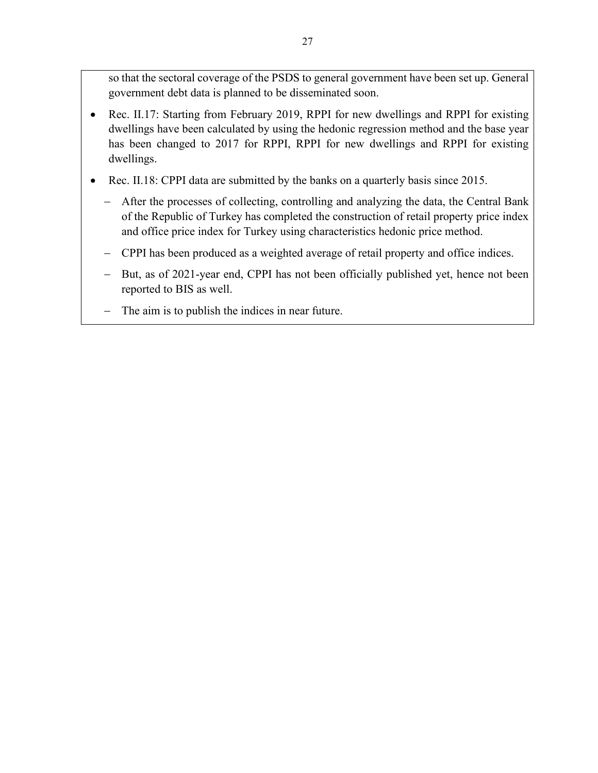so that the sectoral coverage of the PSDS to general government have been set up. General government debt data is planned to be disseminated soon.

- Rec. II.17: Starting from February 2019, RPPI for new dwellings and RPPI for existing dwellings have been calculated by using the hedonic regression method and the base year has been changed to 2017 for RPPI, RPPI for new dwellings and RPPI for existing dwellings.
- Rec. II.18: CPPI data are submitted by the banks on a quarterly basis since 2015.
	- − After the processes of collecting, controlling and analyzing the data, the Central Bank of the Republic of Turkey has completed the construction of retail property price index and office price index for Turkey using characteristics hedonic price method.
	- − CPPI has been produced as a weighted average of retail property and office indices.
	- − But, as of 2021-year end, CPPI has not been officially published yet, hence not been reported to BIS as well.
	- − The aim is to publish the indices in near future.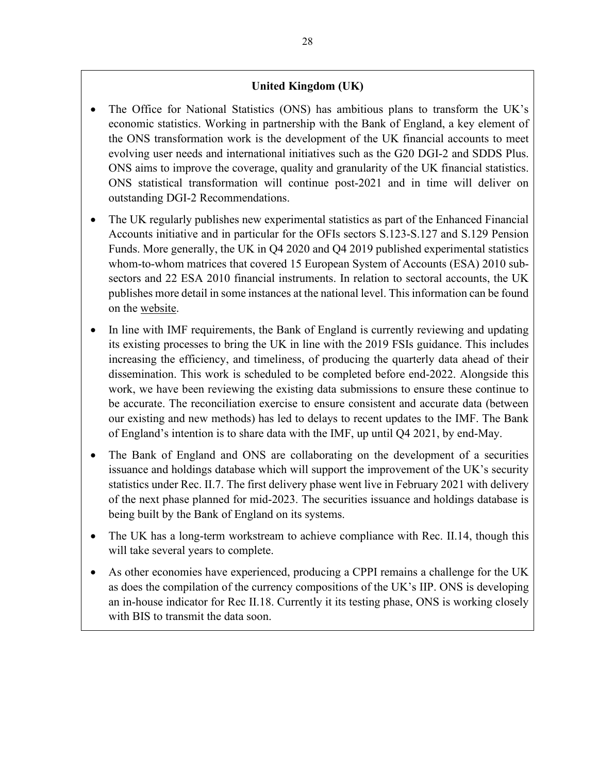## **United Kingdom (UK)**

- The Office for National Statistics (ONS) has ambitious plans to transform the UK's economic statistics. Working in partnership with the Bank of England, a key element of the ONS transformation work is the development of the UK financial accounts to meet evolving user needs and international initiatives such as the G20 DGI-2 and SDDS Plus. ONS aims to improve the coverage, quality and granularity of the UK financial statistics. ONS statistical transformation will continue post-2021 and in time will deliver on outstanding DGI-2 Recommendations.
- The UK regularly publishes new experimental statistics as part of the Enhanced Financial Accounts initiative and in particular for the OFIs sectors S.123-S.127 and S.129 Pension Funds. More generally, the UK in Q4 2020 and Q4 2019 published experimental statistics whom-to-whom matrices that covered 15 European System of Accounts (ESA) 2010 subsectors and 22 ESA 2010 financial instruments. In relation to sectoral accounts, the UK publishes more detail in some instances at the national level. This information can be found on the [website.](http://www.ons.gov.uk/)
- In line with IMF requirements, the Bank of England is currently reviewing and updating its existing processes to bring the UK in line with the 2019 FSIs guidance. This includes increasing the efficiency, and timeliness, of producing the quarterly data ahead of their dissemination. This work is scheduled to be completed before end-2022. Alongside this work, we have been reviewing the existing data submissions to ensure these continue to be accurate. The reconciliation exercise to ensure consistent and accurate data (between our existing and new methods) has led to delays to recent updates to the IMF. The Bank of England's intention is to share data with the IMF, up until Q4 2021, by end-May.
- The Bank of England and ONS are collaborating on the development of a securities issuance and holdings database which will support the improvement of the UK's security statistics under Rec. II.7. The first delivery phase went live in February 2021 with delivery of the next phase planned for mid-2023. The securities issuance and holdings database is being built by the Bank of England on its systems.
- The UK has a long-term workstream to achieve compliance with Rec. II.14, though this will take several years to complete.
- As other economies have experienced, producing a CPPI remains a challenge for the UK as does the compilation of the currency compositions of the UK's IIP. ONS is developing an in-house indicator for Rec II.18. Currently it its testing phase, ONS is working closely with BIS to transmit the data soon.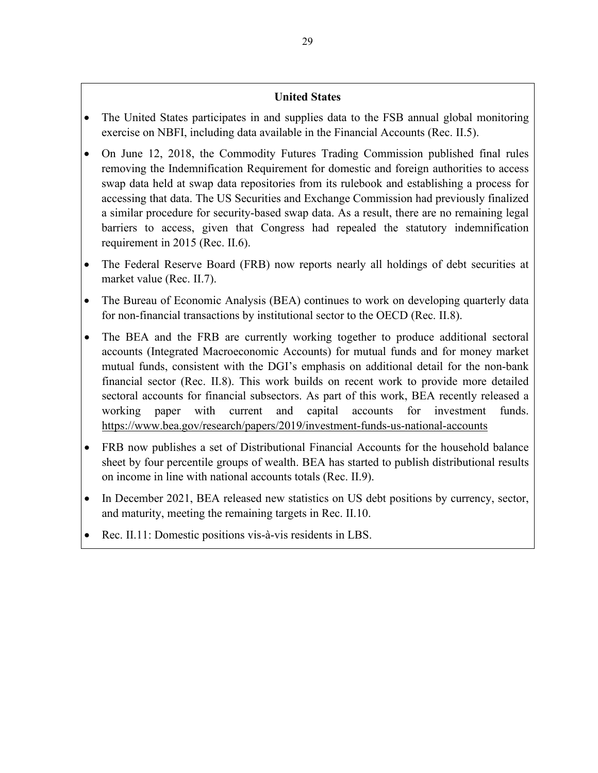## **United States**

- The United States participates in and supplies data to the FSB annual global monitoring exercise on NBFI, including data available in the Financial Accounts (Rec. II.5).
- On June 12, 2018, the Commodity Futures Trading Commission published final rules removing the Indemnification Requirement for domestic and foreign authorities to access swap data held at swap data repositories from its rulebook and establishing a process for accessing that data. The US Securities and Exchange Commission had previously finalized a similar procedure for security-based swap data. As a result, there are no remaining legal barriers to access, given that Congress had repealed the statutory indemnification requirement in 2015 (Rec. II.6).
- The Federal Reserve Board (FRB) now reports nearly all holdings of debt securities at market value (Rec. II.7).
- The Bureau of Economic Analysis (BEA) continues to work on developing quarterly data for non-financial transactions by institutional sector to the OECD (Rec. II.8).
- The BEA and the FRB are currently working together to produce additional sectoral accounts (Integrated Macroeconomic Accounts) for mutual funds and for money market mutual funds, consistent with the DGI's emphasis on additional detail for the non-bank financial sector (Rec. II.8). This work builds on recent work to provide more detailed sectoral accounts for financial subsectors. As part of this work, BEA recently released a working paper with current and capital accounts for investment funds. [https://www.bea.gov/research/papers/2019/investment-funds-us-national-accounts](https://urldefense.proofpoint.com/v2/url?u=https-3A__www.bea.gov_research_papers_2019_investment-2Dfunds-2Dus-2Dnational-2Daccounts&d=DwMGaQ&c=G8CoXqdZ57E1EOn2t2CVrg&r=q4fSb685gpqrQW4pKpUanukbJnvzfJ8k-lr75_OJfRU&m=xJSu_Dy0lUafVUQ35g_0ehECi3dvA7tuhSRtwgSC2_8&s=2OCrcAfvsOzRwA7fdnNPcdG-_IakA9aSh1KcXP6fOKQ&e=)
- FRB now publishes a set of Distributional Financial Accounts for the household balance sheet by four percentile groups of wealth. BEA has started to publish distributional results on income in line with national accounts totals (Rec. II.9).
- In December 2021, BEA released new statistics on US debt positions by currency, sector, and maturity, meeting the remaining targets in Rec. II.10.
- Rec. II.11: Domestic positions vis-à-vis residents in LBS.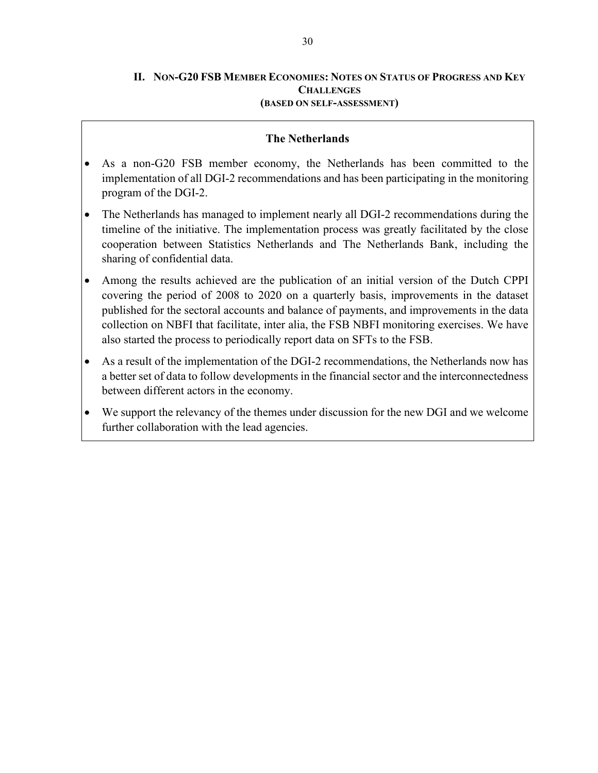#### **II. NON-G20 FSB MEMBER ECONOMIES: NOTES ON STATUS OF PROGRESS AND KEY CHALLENGES (BASED ON SELF-ASSESSMENT)**

#### **The Netherlands**

- As a non-G20 FSB member economy, the Netherlands has been committed to the implementation of all DGI-2 recommendations and has been participating in the monitoring program of the DGI-2.
- The Netherlands has managed to implement nearly all DGI-2 recommendations during the timeline of the initiative. The implementation process was greatly facilitated by the close cooperation between Statistics Netherlands and The Netherlands Bank, including the sharing of confidential data.
- Among the results achieved are the publication of an initial version of the Dutch CPPI covering the period of 2008 to 2020 on a quarterly basis, improvements in the dataset published for the sectoral accounts and balance of payments, and improvements in the data collection on NBFI that facilitate, inter alia, the FSB NBFI monitoring exercises. We have also started the process to periodically report data on SFTs to the FSB.
- As a result of the implementation of the DGI-2 recommendations, the Netherlands now has a better set of data to follow developments in the financial sector and the interconnectedness between different actors in the economy.
- We support the relevancy of the themes under discussion for the new DGI and we welcome further collaboration with the lead agencies.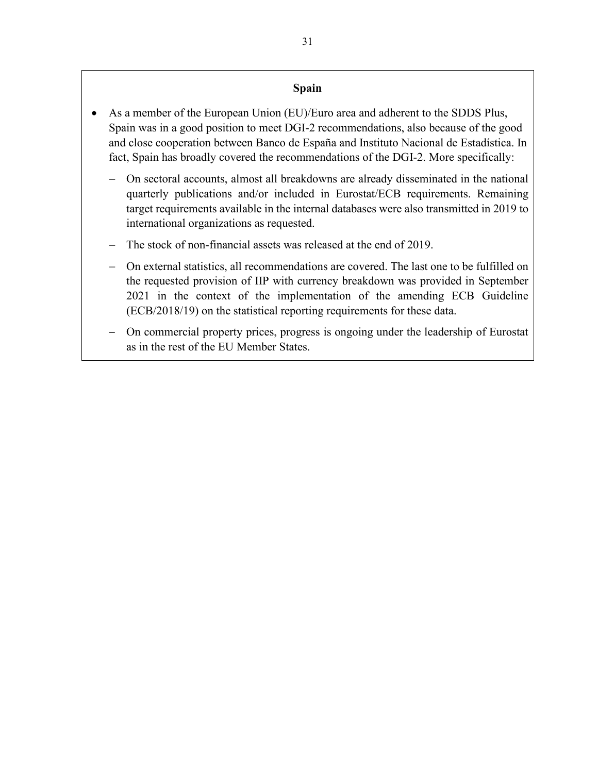### **Spain**

- As a member of the European Union (EU)/Euro area and adherent to the SDDS Plus, Spain was in a good position to meet DGI-2 recommendations, also because of the good and close cooperation between Banco de España and Instituto Nacional de Estadística. In fact, Spain has broadly covered the recommendations of the DGI-2. More specifically:
	- − On sectoral accounts, almost all breakdowns are already disseminated in the national quarterly publications and/or included in Eurostat/ECB requirements. Remaining target requirements available in the internal databases were also transmitted in 2019 to international organizations as requested.
	- The stock of non-financial assets was released at the end of 2019.
	- − On external statistics, all recommendations are covered. The last one to be fulfilled on the requested provision of IIP with currency breakdown was provided in September 2021 in the context of the implementation of the amending ECB Guideline (ECB/2018/19) on the statistical reporting requirements for these data.
	- − On commercial property prices, progress is ongoing under the leadership of Eurostat as in the rest of the EU Member States.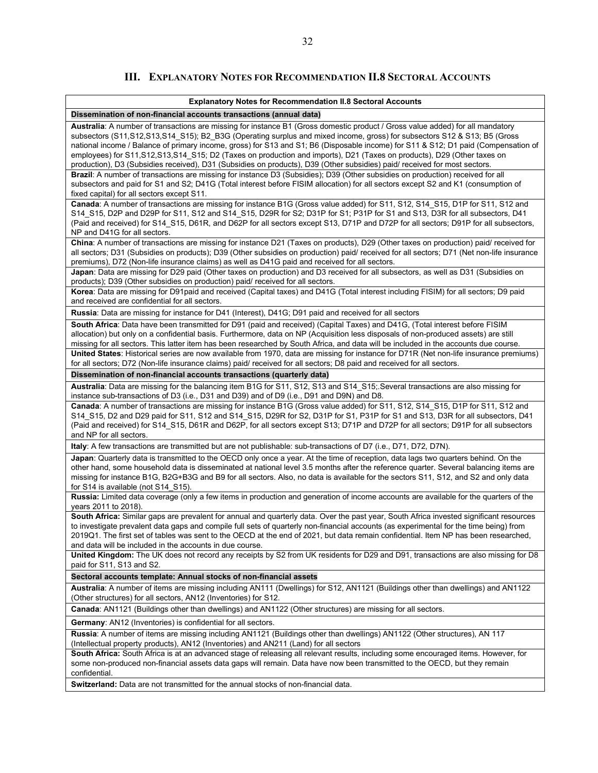## **III. EXPLANATORY NOTES FOR RECOMMENDATION II.8 SECTORAL ACCOUNTS**

| <b>Explanatory Notes for Recommendation II.8 Sectoral Accounts</b>                                                                                                                                                                                                                                                                                                                                                                                                                                                                                                                                                                                         |  |  |
|------------------------------------------------------------------------------------------------------------------------------------------------------------------------------------------------------------------------------------------------------------------------------------------------------------------------------------------------------------------------------------------------------------------------------------------------------------------------------------------------------------------------------------------------------------------------------------------------------------------------------------------------------------|--|--|
| Dissemination of non-financial accounts transactions (annual data)                                                                                                                                                                                                                                                                                                                                                                                                                                                                                                                                                                                         |  |  |
| Australia: A number of transactions are missing for instance B1 (Gross domestic product / Gross value added) for all mandatory<br>subsectors (S11, S12, S13, S14 S15); B2 B3G (Operating surplus and mixed income, gross) for subsectors S12 & S13; B5 (Gross<br>national income / Balance of primary income, gross) for S13 and S1; B6 (Disposable income) for S11 & S12; D1 paid (Compensation of<br>employees) for S11,S12,S13,S14_S15; D2 (Taxes on production and imports), D21 (Taxes on products), D29 (Other taxes on<br>production), D3 (Subsidies received), D31 (Subsidies on products), D39 (Other subsidies) paid/ received for most sectors. |  |  |
| Brazil: A number of transactions are missing for instance D3 (Subsidies); D39 (Other subsidies on production) received for all<br>subsectors and paid for S1 and S2; D41G (Total interest before FISIM allocation) for all sectors except S2 and K1 (consumption of<br>fixed capital) for all sectors except S11.                                                                                                                                                                                                                                                                                                                                          |  |  |
| Canada: A number of transactions are missing for instance B1G (Gross value added) for S11, S12, S14_S15, D1P for S11, S12 and<br>S14_S15, D2P and D29P for S11, S12 and S14_S15, D29R for S2; D31P for S1; P31P for S1 and S13, D3R for all subsectors, D41<br>(Paid and received) for S14_S15, D61R, and D62P for all sectors except S13, D71P and D72P for all sectors; D91P for all subsectors,<br>NP and D41G for all sectors.                                                                                                                                                                                                                         |  |  |
| China: A number of transactions are missing for instance D21 (Taxes on products), D29 (Other taxes on production) paid/ received for<br>all sectors; D31 (Subsidies on products); D39 (Other subsidies on production) paid/ received for all sectors; D71 (Net non-life insurance<br>premiums), D72 (Non-life insurance claims) as well as D41G paid and received for all sectors.                                                                                                                                                                                                                                                                         |  |  |
| Japan: Data are missing for D29 paid (Other taxes on production) and D3 received for all subsectors, as well as D31 (Subsidies on<br>products); D39 (Other subsidies on production) paid/ received for all sectors.                                                                                                                                                                                                                                                                                                                                                                                                                                        |  |  |
| Korea: Data are missing for D91paid and received (Capital taxes) and D41G (Total interest including FISIM) for all sectors; D9 paid<br>and received are confidential for all sectors.                                                                                                                                                                                                                                                                                                                                                                                                                                                                      |  |  |
| Russia: Data are missing for instance for D41 (Interest), D41G; D91 paid and received for all sectors                                                                                                                                                                                                                                                                                                                                                                                                                                                                                                                                                      |  |  |
| South Africa: Data have been transmitted for D91 (paid and received) (Capital Taxes) and D41G, (Total interest before FISIM<br>allocation) but only on a confidential basis. Furthermore, data on NP (Acquisition less disposals of non-produced assets) are still<br>missing for all sectors. This latter item has been researched by South Africa, and data will be included in the accounts due course.                                                                                                                                                                                                                                                 |  |  |
| United States: Historical series are now available from 1970, data are missing for instance for D71R (Net non-life insurance premiums)<br>for all sectors; D72 (Non-life insurance claims) paid/ received for all sectors; D8 paid and received for all sectors.                                                                                                                                                                                                                                                                                                                                                                                           |  |  |
| Dissemination of non-financial accounts transactions (quarterly data)                                                                                                                                                                                                                                                                                                                                                                                                                                                                                                                                                                                      |  |  |
| Australia: Data are missing for the balancing item B1G for S11, S12, S13 and S14_S15; Several transactions are also missing for<br>instance sub-transactions of D3 (i.e., D31 and D39) and of D9 (i.e., D91 and D9N) and D8.                                                                                                                                                                                                                                                                                                                                                                                                                               |  |  |
| Canada: A number of transactions are missing for instance B1G (Gross value added) for S11, S12, S14_S15, D1P for S11, S12 and<br>S14_S15, D2 and D29 paid for S11, S12 and S14_S15, D29R for S2, D31P for S1, P31P for S1 and S13, D3R for all subsectors, D41<br>(Paid and received) for S14_S15, D61R and D62P, for all sectors except S13; D71P and D72P for all sectors; D91P for all subsectors<br>and NP for all sectors.                                                                                                                                                                                                                            |  |  |
| Italy: A few transactions are transmitted but are not publishable: sub-transactions of D7 (i.e., D71, D72, D7N).                                                                                                                                                                                                                                                                                                                                                                                                                                                                                                                                           |  |  |
| Japan: Quarterly data is transmitted to the OECD only once a year. At the time of reception, data lags two quarters behind. On the<br>other hand, some household data is disseminated at national level 3.5 months after the reference quarter. Several balancing items are<br>missing for instance B1G, B2G+B3G and B9 for all sectors. Also, no data is available for the sectors S11, S12, and S2 and only data<br>for S14 is available (not S14 S15).                                                                                                                                                                                                  |  |  |
| Russia: Limited data coverage (only a few items in production and generation of income accounts are available for the quarters of the<br>years 2011 to 2018).                                                                                                                                                                                                                                                                                                                                                                                                                                                                                              |  |  |
| South Africa: Similar gaps are prevalent for annual and quarterly data. Over the past year, South Africa invested significant resources<br>to investigate prevalent data gaps and compile full sets of quarterly non-financial accounts (as experimental for the time being) from<br>2019Q1. The first set of tables was sent to the OECD at the end of 2021, but data remain confidential. Item NP has been researched,<br>and data will be included in the accounts in due course.                                                                                                                                                                       |  |  |
| United Kingdom: The UK does not record any receipts by S2 from UK residents for D29 and D91, transactions are also missing for D8<br>paid for S11, S13 and S2.                                                                                                                                                                                                                                                                                                                                                                                                                                                                                             |  |  |
| Sectoral accounts template: Annual stocks of non-financial assets                                                                                                                                                                                                                                                                                                                                                                                                                                                                                                                                                                                          |  |  |
| Australia: A number of items are missing including AN111 (Dwellings) for S12, AN1121 (Buildings other than dwellings) and AN1122<br>(Other structures) for all sectors, AN12 (Inventories) for S12.                                                                                                                                                                                                                                                                                                                                                                                                                                                        |  |  |
| Canada: AN1121 (Buildings other than dwellings) and AN1122 (Other structures) are missing for all sectors.                                                                                                                                                                                                                                                                                                                                                                                                                                                                                                                                                 |  |  |
| <b>Germany:</b> AN12 (Inventories) is confidential for all sectors.                                                                                                                                                                                                                                                                                                                                                                                                                                                                                                                                                                                        |  |  |
| Russia: A number of items are missing including AN1121 (Buildings other than dwellings) AN1122 (Other structures), AN 117<br>(Intellectual property products), AN12 (Inventories) and AN211 (Land) for all sectors                                                                                                                                                                                                                                                                                                                                                                                                                                         |  |  |
| South Africa: South Africa is at an advanced stage of releasing all relevant results, including some encouraged items. However, for<br>some non-produced non-financial assets data gaps will remain. Data have now been transmitted to the OECD, but they remain<br>confidential.                                                                                                                                                                                                                                                                                                                                                                          |  |  |
| <b>Switzerland:</b> Data are not transmitted for the annual stocks of non-financial data.                                                                                                                                                                                                                                                                                                                                                                                                                                                                                                                                                                  |  |  |